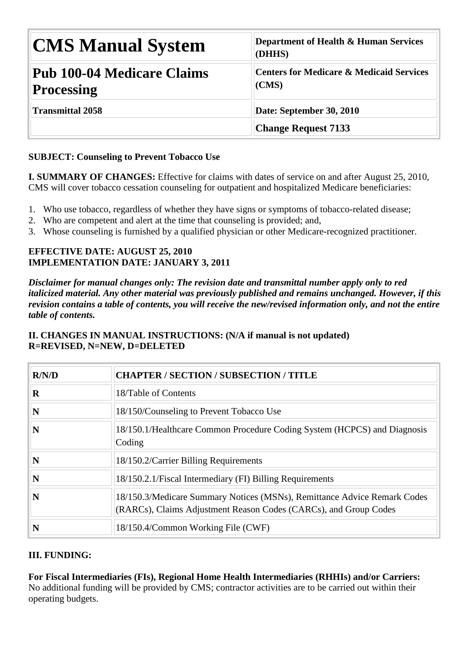| <b>CMS Manual System</b>                        | Department of Health & Human Services<br>(DHHS)              |
|-------------------------------------------------|--------------------------------------------------------------|
| Pub 100-04 Medicare Claims<br><b>Processing</b> | <b>Centers for Medicare &amp; Medicaid Services</b><br>(CMS) |
| <b>Transmittal 2058</b>                         | Date: September 30, 2010                                     |
|                                                 | <b>Change Request 7133</b>                                   |

# **SUBJECT: Counseling to Prevent Tobacco Use**

**I. SUMMARY OF CHANGES:** Effective for claims with dates of service on and after August 25, 2010, CMS will cover tobacco cessation counseling for outpatient and hospitalized Medicare beneficiaries:

- 1. Who use tobacco, regardless of whether they have signs or symptoms of tobacco-related disease;
- 2. Who are competent and alert at the time that counseling is provided; and,
- 3. Whose counseling is furnished by a qualified physician or other Medicare-recognized practitioner.

#### **EFFECTIVE DATE: AUGUST 25, 2010 IMPLEMENTATION DATE: JANUARY 3, 2011**

*Disclaimer for manual changes only: The revision date and transmittal number apply only to red italicized material. Any other material was previously published and remains unchanged. However, if this revision contains a table of contents, you will receive the new/revised information only, and not the entire table of contents.*

| R/N/D    | <b>CHAPTER / SECTION / SUBSECTION / TITLE</b>                                                                                                |
|----------|----------------------------------------------------------------------------------------------------------------------------------------------|
| $\bf{R}$ | 18/Table of Contents                                                                                                                         |
| N        | 18/150/Counseling to Prevent Tobacco Use                                                                                                     |
| N        | 18/150.1/Healthcare Common Procedure Coding System (HCPCS) and Diagnosis<br>Coding                                                           |
| N        | 18/150.2/Carrier Billing Requirements                                                                                                        |
| N        | 18/150.2.1/Fiscal Intermediary (FI) Billing Requirements                                                                                     |
| N        | 18/150.3/Medicare Summary Notices (MSNs), Remittance Advice Remark Codes<br>(RARCs), Claims Adjustment Reason Codes (CARCs), and Group Codes |
| N        | 18/150.4/Common Working File (CWF)                                                                                                           |

## **II. CHANGES IN MANUAL INSTRUCTIONS: (N/A if manual is not updated) R=REVISED, N=NEW, D=DELETED**

#### **III. FUNDING:**

**For Fiscal Intermediaries (FIs), Regional Home Health Intermediaries (RHHIs) and/or Carriers:** No additional funding will be provided by CMS; contractor activities are to be carried out within their operating budgets.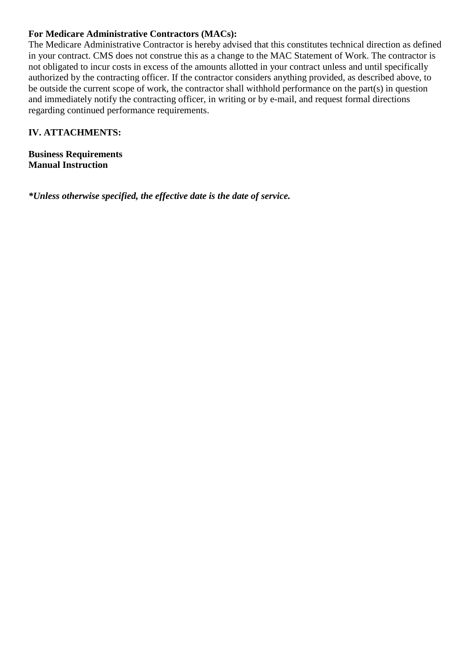#### **For Medicare Administrative Contractors (MACs):**

The Medicare Administrative Contractor is hereby advised that this constitutes technical direction as defined in your contract. CMS does not construe this as a change to the MAC Statement of Work. The contractor is not obligated to incur costs in excess of the amounts allotted in your contract unless and until specifically authorized by the contracting officer. If the contractor considers anything provided, as described above, to be outside the current scope of work, the contractor shall withhold performance on the part(s) in question and immediately notify the contracting officer, in writing or by e-mail, and request formal directions regarding continued performance requirements.

#### **IV. ATTACHMENTS:**

**Business Requirements Manual Instruction**

*\*Unless otherwise specified, the effective date is the date of service.*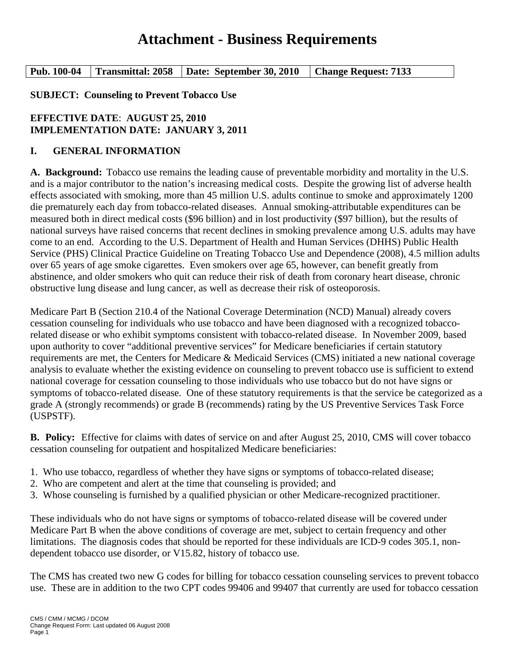# **Attachment - Business Requirements**

**Pub. 100-04 Transmittal: 2058 Date: September 30, 2010 Change Request: 7133**

**SUBJECT: Counseling to Prevent Tobacco Use** 

## **EFFECTIVE DATE**: **AUGUST 25, 2010 IMPLEMENTATION DATE: JANUARY 3, 2011**

#### **I. GENERAL INFORMATION**

**A. Background:** Tobacco use remains the leading cause of preventable morbidity and mortality in the U.S. and is a major contributor to the nation's increasing medical costs. Despite the growing list of adverse health effects associated with smoking, more than 45 million U.S. adults continue to smoke and approximately 1200 die prematurely each day from tobacco-related diseases. Annual smoking-attributable expenditures can be measured both in direct medical costs (\$96 billion) and in lost productivity (\$97 billion), but the results of national surveys have raised concerns that recent declines in smoking prevalence among U.S. adults may have come to an end. According to the U.S. Department of Health and Human Services (DHHS) Public Health Service (PHS) Clinical Practice Guideline on Treating Tobacco Use and Dependence (2008), 4.5 million adults over 65 years of age smoke cigarettes. Even smokers over age 65, however, can benefit greatly from abstinence, and older smokers who quit can reduce their risk of death from coronary heart disease, chronic obstructive lung disease and lung cancer, as well as decrease their risk of osteoporosis.

Medicare Part B (Section 210.4 of the National Coverage Determination (NCD) Manual) already covers cessation counseling for individuals who use tobacco and have been diagnosed with a recognized tobaccorelated disease or who exhibit symptoms consistent with tobacco-related disease. In November 2009, based upon authority to cover "additional preventive services" for Medicare beneficiaries if certain statutory requirements are met, the Centers for Medicare & Medicaid Services (CMS) initiated a new national coverage analysis to evaluate whether the existing evidence on counseling to prevent tobacco use is sufficient to extend national coverage for cessation counseling to those individuals who use tobacco but do not have signs or symptoms of tobacco-related disease. One of these statutory requirements is that the service be categorized as a grade A (strongly recommends) or grade B (recommends) rating by the US Preventive Services Task Force (USPSTF).

**B. Policy:** Effective for claims with dates of service on and after August 25, 2010, CMS will cover tobacco cessation counseling for outpatient and hospitalized Medicare beneficiaries:

- 1. Who use tobacco, regardless of whether they have signs or symptoms of tobacco-related disease;
- 2. Who are competent and alert at the time that counseling is provided; and
- 3. Whose counseling is furnished by a qualified physician or other Medicare-recognized practitioner.

These individuals who do not have signs or symptoms of tobacco-related disease will be covered under Medicare Part B when the above conditions of coverage are met, subject to certain frequency and other limitations. The diagnosis codes that should be reported for these individuals are ICD-9 codes 305.1, nondependent tobacco use disorder, or V15.82, history of tobacco use.

The CMS has created two new G codes for billing for tobacco cessation counseling services to prevent tobacco use. These are in addition to the two CPT codes 99406 and 99407 that currently are used for tobacco cessation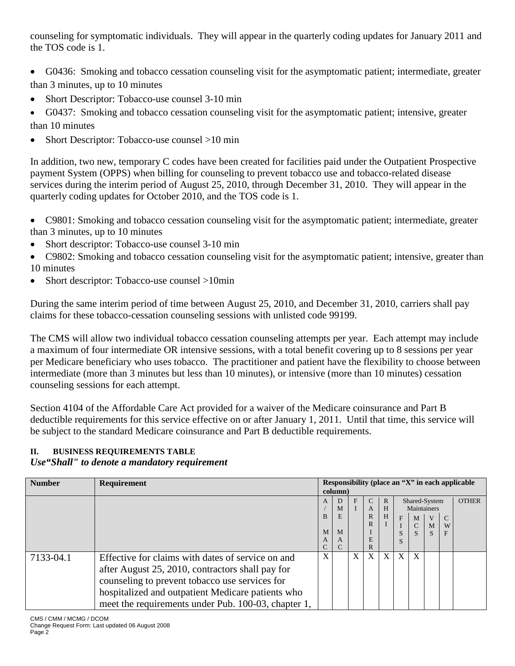counseling for symptomatic individuals. They will appear in the quarterly coding updates for January 2011 and the TOS code is 1.

- G0436: Smoking and tobacco cessation counseling visit for the asymptomatic patient; intermediate, greater than 3 minutes, up to 10 minutes
- Short Descriptor: Tobacco-use counsel 3-10 min
- G0437: Smoking and tobacco cessation counseling visit for the asymptomatic patient; intensive, greater than 10 minutes
- Short Descriptor: Tobacco-use counsel >10 min

In addition, two new, temporary C codes have been created for facilities paid under the Outpatient Prospective payment System (OPPS) when billing for counseling to prevent tobacco use and tobacco-related disease services during the interim period of August 25, 2010, through December 31, 2010. They will appear in the quarterly coding updates for October 2010, and the TOS code is 1.

• C9801: Smoking and tobacco cessation counseling visit for the asymptomatic patient; intermediate, greater than 3 minutes, up to 10 minutes

- Short descriptor: Tobacco-use counsel 3-10 min
- C9802: Smoking and tobacco cessation counseling visit for the asymptomatic patient; intensive, greater than 10 minutes
- Short descriptor: Tobacco-use counsel >10min

During the same interim period of time between August 25, 2010, and December 31, 2010, carriers shall pay claims for these tobacco-cessation counseling sessions with unlisted code 99199.

The CMS will allow two individual tobacco cessation counseling attempts per year. Each attempt may include a maximum of four intermediate OR intensive sessions, with a total benefit covering up to 8 sessions per year per Medicare beneficiary who uses tobacco. The practitioner and patient have the flexibility to choose between intermediate (more than 3 minutes but less than 10 minutes), or intensive (more than 10 minutes) cessation counseling sessions for each attempt.

Section 4104 of the Affordable Care Act provided for a waiver of the Medicare coinsurance and Part B deductible requirements for this service effective on or after January 1, 2011. Until that time, this service will be subject to the standard Medicare coinsurance and Part B deductible requirements.

#### **II. BUSINESS REQUIREMENTS TABLE** *Use"Shall" to denote a mandatory requirement*

| <b>Number</b> | Requirement                                                                                                                                                                                                                                                         |                       | column)                    |   |                                                    |                        |        |                         |                                        |                         | Responsibility (place an " $X$ " in each applicable |
|---------------|---------------------------------------------------------------------------------------------------------------------------------------------------------------------------------------------------------------------------------------------------------------------|-----------------------|----------------------------|---|----------------------------------------------------|------------------------|--------|-------------------------|----------------------------------------|-------------------------|-----------------------------------------------------|
|               |                                                                                                                                                                                                                                                                     | A<br>B<br>M<br>A<br>C | D<br>M<br>E<br>M<br>A<br>C | F | $\mathcal{C}$<br>A<br>$\mathbb{R}$<br>R<br>E<br>R. | $\mathbb{R}$<br>H<br>H | F<br>S | M<br>$\mathcal{C}$<br>S | Shared-System<br>Maintainers<br>M<br>S | $\mathcal{C}$<br>W<br>F | <b>OTHER</b>                                        |
| 7133-04.1     | Effective for claims with dates of service on and<br>after August 25, 2010, contractors shall pay for<br>counseling to prevent tobacco use services for<br>hospitalized and outpatient Medicare patients who<br>meet the requirements under Pub. 100-03, chapter 1, | X                     |                            | X | X                                                  | X                      | X      | X                       |                                        |                         |                                                     |

CMS / CMM / MCMG / DCOM Change Request Form: Last updated 06 August 2008 Page 2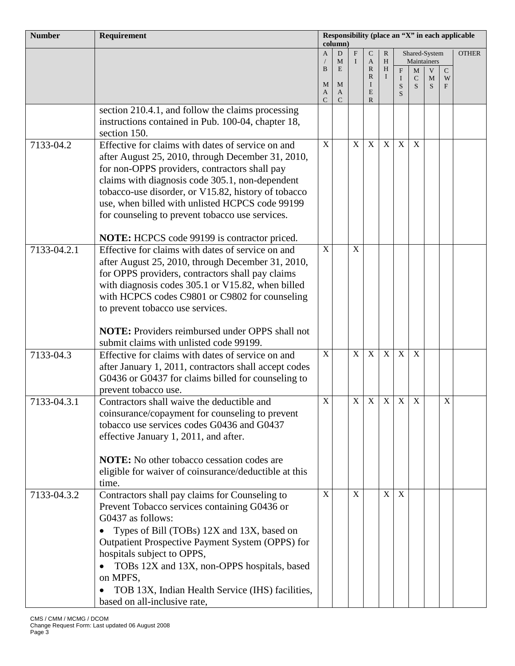| <b>Number</b> | Requirement                                                                                        | Responsibility (place an "X" in each applicable<br>$\text{column}$ |                    |              |                   |              |                  |                   |        |             |              |
|---------------|----------------------------------------------------------------------------------------------------|--------------------------------------------------------------------|--------------------|--------------|-------------------|--------------|------------------|-------------------|--------|-------------|--------------|
|               |                                                                                                    | $\overline{A}$                                                     | D                  | $\mathbf{F}$ | $\mathsf{C}$      | $\mathbb{R}$ |                  | Shared-System     |        |             | <b>OTHER</b> |
|               |                                                                                                    | $\bf{B}$                                                           | M<br>E             | $\mathbf{I}$ | A<br>$\mathbb{R}$ | H<br>H       | F                | Maintainers<br>M  | V      | $\mathbf C$ |              |
|               |                                                                                                    | M                                                                  | M                  |              | $\mathbb{R}$<br>I | $\bf{I}$     | $\mathbf I$<br>S | $\mathsf{C}$<br>S | M<br>S | W<br>F      |              |
|               |                                                                                                    | A<br>$\mathcal{C}$                                                 | A<br>$\mathcal{C}$ |              | E<br>R            |              | S                |                   |        |             |              |
|               | section 210.4.1, and follow the claims processing                                                  |                                                                    |                    |              |                   |              |                  |                   |        |             |              |
|               | instructions contained in Pub. 100-04, chapter 18,                                                 |                                                                    |                    |              |                   |              |                  |                   |        |             |              |
|               | section 150.                                                                                       |                                                                    |                    |              |                   |              |                  |                   |        |             |              |
| 7133-04.2     | Effective for claims with dates of service on and                                                  | $\mathbf X$                                                        |                    | $\mathbf X$  | X                 | $\mathbf X$  | $\mathbf X$      | $\mathbf X$       |        |             |              |
|               | after August 25, 2010, through December 31, 2010,<br>for non-OPPS providers, contractors shall pay |                                                                    |                    |              |                   |              |                  |                   |        |             |              |
|               | claims with diagnosis code 305.1, non-dependent                                                    |                                                                    |                    |              |                   |              |                  |                   |        |             |              |
|               | tobacco-use disorder, or V15.82, history of tobacco                                                |                                                                    |                    |              |                   |              |                  |                   |        |             |              |
|               | use, when billed with unlisted HCPCS code 99199                                                    |                                                                    |                    |              |                   |              |                  |                   |        |             |              |
|               | for counseling to prevent tobacco use services.                                                    |                                                                    |                    |              |                   |              |                  |                   |        |             |              |
|               |                                                                                                    |                                                                    |                    |              |                   |              |                  |                   |        |             |              |
|               | <b>NOTE:</b> HCPCS code 99199 is contractor priced.                                                |                                                                    |                    |              |                   |              |                  |                   |        |             |              |
| 7133-04.2.1   | Effective for claims with dates of service on and                                                  | $\boldsymbol{X}$                                                   |                    | $\mathbf X$  |                   |              |                  |                   |        |             |              |
|               | after August 25, 2010, through December 31, 2010,                                                  |                                                                    |                    |              |                   |              |                  |                   |        |             |              |
|               | for OPPS providers, contractors shall pay claims                                                   |                                                                    |                    |              |                   |              |                  |                   |        |             |              |
|               | with diagnosis codes 305.1 or V15.82, when billed                                                  |                                                                    |                    |              |                   |              |                  |                   |        |             |              |
|               | with HCPCS codes C9801 or C9802 for counseling<br>to prevent tobacco use services.                 |                                                                    |                    |              |                   |              |                  |                   |        |             |              |
|               |                                                                                                    |                                                                    |                    |              |                   |              |                  |                   |        |             |              |
|               | <b>NOTE:</b> Providers reimbursed under OPPS shall not                                             |                                                                    |                    |              |                   |              |                  |                   |        |             |              |
|               | submit claims with unlisted code 99199.                                                            |                                                                    |                    |              |                   |              |                  |                   |        |             |              |
| 7133-04.3     | Effective for claims with dates of service on and                                                  | $\mathbf X$                                                        |                    | X            | $\overline{X}$    | X            | $\overline{X}$   | X                 |        |             |              |
|               | after January 1, 2011, contractors shall accept codes                                              |                                                                    |                    |              |                   |              |                  |                   |        |             |              |
|               | G0436 or G0437 for claims billed for counseling to                                                 |                                                                    |                    |              |                   |              |                  |                   |        |             |              |
|               | prevent tobacco use.                                                                               | $\boldsymbol{\mathrm{X}}$                                          |                    | $\mathbf X$  | X                 | $\mathbf X$  | X                | $\mathbf X$       |        | $\mathbf X$ |              |
| 7133-04.3.1   | Contractors shall waive the deductible and<br>coinsurance/copayment for counseling to prevent      |                                                                    |                    |              |                   |              |                  |                   |        |             |              |
|               | tobacco use services codes G0436 and G0437                                                         |                                                                    |                    |              |                   |              |                  |                   |        |             |              |
|               | effective January 1, 2011, and after.                                                              |                                                                    |                    |              |                   |              |                  |                   |        |             |              |
|               |                                                                                                    |                                                                    |                    |              |                   |              |                  |                   |        |             |              |
|               | <b>NOTE:</b> No other tobacco cessation codes are                                                  |                                                                    |                    |              |                   |              |                  |                   |        |             |              |
|               | eligible for waiver of coinsurance/deductible at this                                              |                                                                    |                    |              |                   |              |                  |                   |        |             |              |
|               | time.                                                                                              |                                                                    |                    |              |                   |              |                  |                   |        |             |              |
| 7133-04.3.2   | Contractors shall pay claims for Counseling to                                                     | $\boldsymbol{X}$                                                   |                    | X            |                   | X            | X                |                   |        |             |              |
|               | Prevent Tobacco services containing G0436 or                                                       |                                                                    |                    |              |                   |              |                  |                   |        |             |              |
|               | G0437 as follows:                                                                                  |                                                                    |                    |              |                   |              |                  |                   |        |             |              |
|               | Types of Bill (TOBs) 12X and 13X, based on<br>Outpatient Prospective Payment System (OPPS) for     |                                                                    |                    |              |                   |              |                  |                   |        |             |              |
|               | hospitals subject to OPPS,                                                                         |                                                                    |                    |              |                   |              |                  |                   |        |             |              |
|               | TOBs 12X and 13X, non-OPPS hospitals, based                                                        |                                                                    |                    |              |                   |              |                  |                   |        |             |              |
|               | on MPFS,                                                                                           |                                                                    |                    |              |                   |              |                  |                   |        |             |              |
|               | TOB 13X, Indian Health Service (IHS) facilities,                                                   |                                                                    |                    |              |                   |              |                  |                   |        |             |              |
|               | based on all-inclusive rate,                                                                       |                                                                    |                    |              |                   |              |                  |                   |        |             |              |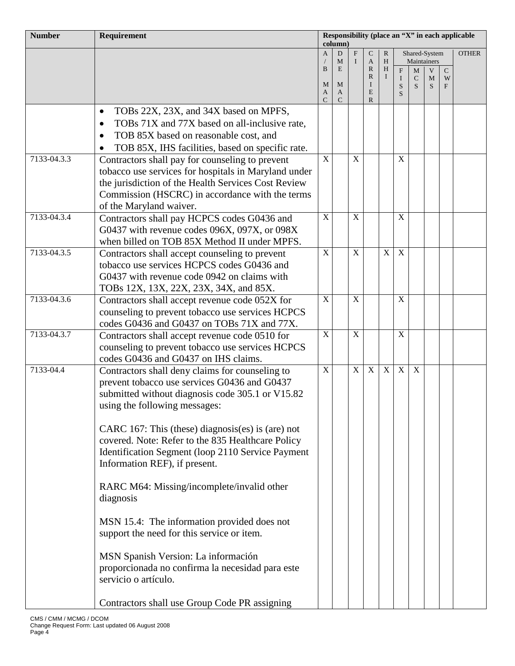| <b>Number</b> | Requirement                                                                                  | Responsibility (place an "X" in each applicable<br>column) |        |             |                   |              |                |                           |                  |           |              |
|---------------|----------------------------------------------------------------------------------------------|------------------------------------------------------------|--------|-------------|-------------------|--------------|----------------|---------------------------|------------------|-----------|--------------|
|               |                                                                                              | $\mathbf{A}$                                               | D      | F           | $\mathsf{C}$      | $\mathbb{R}$ |                |                           | Shared-System    |           | <b>OTHER</b> |
|               |                                                                                              | B                                                          | M<br>E | $\mathbf I$ | A<br>$\mathbb{R}$ | H<br>H       | $\overline{F}$ | M                         | Maintainers<br>V | ${\bf C}$ |              |
|               |                                                                                              | M                                                          | M      |             | R<br>Ι            | $\mathbf{I}$ | $\bf{I}$       | $\mathsf{C}$              | M                | W         |              |
|               |                                                                                              | A                                                          | A      |             | E                 |              | S<br>S         | S                         | S                | F         |              |
|               | TOBs 22X, 23X, and 34X based on MPFS,<br>$\bullet$                                           | C                                                          | C      |             | R                 |              |                |                           |                  |           |              |
|               | TOBs 71X and 77X based on all-inclusive rate,<br>$\bullet$                                   |                                                            |        |             |                   |              |                |                           |                  |           |              |
|               | TOB 85X based on reasonable cost, and<br>$\bullet$                                           |                                                            |        |             |                   |              |                |                           |                  |           |              |
|               | TOB 85X, IHS facilities, based on specific rate.                                             |                                                            |        |             |                   |              |                |                           |                  |           |              |
| 7133-04.3.3   | Contractors shall pay for counseling to prevent                                              | X                                                          |        | X           |                   |              | $\mathbf X$    |                           |                  |           |              |
|               | tobacco use services for hospitals in Maryland under                                         |                                                            |        |             |                   |              |                |                           |                  |           |              |
|               | the jurisdiction of the Health Services Cost Review                                          |                                                            |        |             |                   |              |                |                           |                  |           |              |
|               | Commission (HSCRC) in accordance with the terms                                              |                                                            |        |             |                   |              |                |                           |                  |           |              |
|               | of the Maryland waiver.                                                                      |                                                            |        |             |                   |              |                |                           |                  |           |              |
| 7133-04.3.4   | Contractors shall pay HCPCS codes G0436 and                                                  | $\mathbf X$                                                |        | X           |                   |              | X              |                           |                  |           |              |
|               | G0437 with revenue codes 096X, 097X, or 098X<br>when billed on TOB 85X Method II under MPFS. |                                                            |        |             |                   |              |                |                           |                  |           |              |
| 7133-04.3.5   | Contractors shall accept counseling to prevent                                               | $\mathbf X$                                                |        | X           |                   | $\mathbf{X}$ | X              |                           |                  |           |              |
|               | tobacco use services HCPCS codes G0436 and                                                   |                                                            |        |             |                   |              |                |                           |                  |           |              |
|               | G0437 with revenue code 0942 on claims with                                                  |                                                            |        |             |                   |              |                |                           |                  |           |              |
|               | TOBs 12X, 13X, 22X, 23X, 34X, and 85X.                                                       |                                                            |        |             |                   |              |                |                           |                  |           |              |
| 7133-04.3.6   | Contractors shall accept revenue code 052X for                                               | $\mathbf X$                                                |        | $\mathbf X$ |                   |              | $\mathbf X$    |                           |                  |           |              |
|               | counseling to prevent tobacco use services HCPCS                                             |                                                            |        |             |                   |              |                |                           |                  |           |              |
|               | codes G0436 and G0437 on TOBs 71X and 77X.                                                   |                                                            |        |             |                   |              |                |                           |                  |           |              |
| 7133-04.3.7   | Contractors shall accept revenue code 0510 for                                               | $\mathbf X$                                                |        | $\mathbf X$ |                   |              | X              |                           |                  |           |              |
|               | counseling to prevent tobacco use services HCPCS<br>codes G0436 and G0437 on IHS claims.     |                                                            |        |             |                   |              |                |                           |                  |           |              |
| 7133-04.4     | Contractors shall deny claims for counseling to                                              | $\mathbf X$                                                |        | $\mathbf X$ | X                 | X            | $\overline{X}$ | $\boldsymbol{\mathrm{X}}$ |                  |           |              |
|               | prevent tobacco use services G0436 and G0437                                                 |                                                            |        |             |                   |              |                |                           |                  |           |              |
|               | submitted without diagnosis code 305.1 or V15.82                                             |                                                            |        |             |                   |              |                |                           |                  |           |              |
|               | using the following messages:                                                                |                                                            |        |             |                   |              |                |                           |                  |           |              |
|               |                                                                                              |                                                            |        |             |                   |              |                |                           |                  |           |              |
|               | CARC 167: This (these) diagnosis(es) is (are) not                                            |                                                            |        |             |                   |              |                |                           |                  |           |              |
|               | covered. Note: Refer to the 835 Healthcare Policy                                            |                                                            |        |             |                   |              |                |                           |                  |           |              |
|               | Identification Segment (loop 2110 Service Payment<br>Information REF), if present.           |                                                            |        |             |                   |              |                |                           |                  |           |              |
|               |                                                                                              |                                                            |        |             |                   |              |                |                           |                  |           |              |
|               | RARC M64: Missing/incomplete/invalid other                                                   |                                                            |        |             |                   |              |                |                           |                  |           |              |
|               | diagnosis                                                                                    |                                                            |        |             |                   |              |                |                           |                  |           |              |
|               |                                                                                              |                                                            |        |             |                   |              |                |                           |                  |           |              |
|               | MSN 15.4: The information provided does not                                                  |                                                            |        |             |                   |              |                |                           |                  |           |              |
|               | support the need for this service or item.                                                   |                                                            |        |             |                   |              |                |                           |                  |           |              |
|               | MSN Spanish Version: La información                                                          |                                                            |        |             |                   |              |                |                           |                  |           |              |
|               | proporcionada no confirma la necesidad para este                                             |                                                            |        |             |                   |              |                |                           |                  |           |              |
|               | servicio o artículo.                                                                         |                                                            |        |             |                   |              |                |                           |                  |           |              |
|               |                                                                                              |                                                            |        |             |                   |              |                |                           |                  |           |              |
|               | Contractors shall use Group Code PR assigning                                                |                                                            |        |             |                   |              |                |                           |                  |           |              |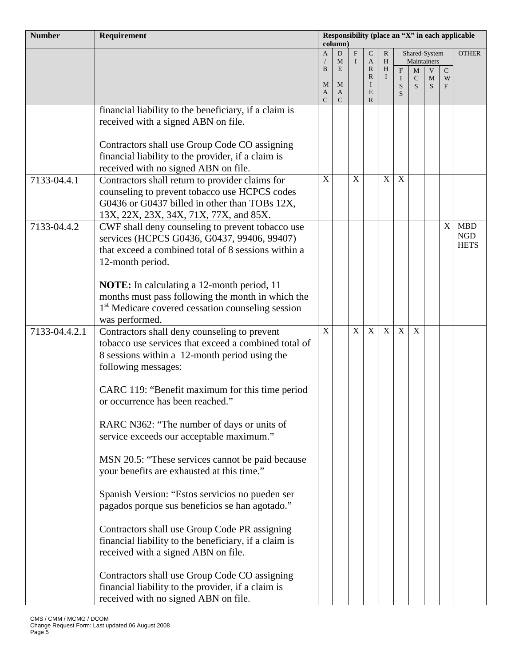| <b>Number</b> | Requirement                                                                                     | Responsibility (place an "X" in each applicable<br>$\text{column}$ |                   |                          |                             |                |                  |                              |        |           |              |
|---------------|-------------------------------------------------------------------------------------------------|--------------------------------------------------------------------|-------------------|--------------------------|-----------------------------|----------------|------------------|------------------------------|--------|-----------|--------------|
|               |                                                                                                 | $\mathbf{A}$                                                       | D<br>M            | $\mathbf{F}$<br>$\bf{I}$ | $\mathsf{C}$<br>A           | ${\bf R}$<br>H |                  | Shared-System<br>Maintainers |        |           | <b>OTHER</b> |
|               |                                                                                                 | $\bf{B}$                                                           | E                 |                          | $\mathbb{R}$                | H              | $\mathbf{F}$     | M                            | V      | ${\bf C}$ |              |
|               |                                                                                                 | M                                                                  | M                 |                          | R<br>$\bf{I}$               | $\mathbf{I}$   | $\mathbf I$<br>S | $\mathsf{C}$<br>S            | M<br>S | W<br>F    |              |
|               |                                                                                                 | A<br>$\mathcal{C}$                                                 | A<br>$\mathsf{C}$ |                          | $\mathbf E$<br>$\mathbb{R}$ |                | S                |                              |        |           |              |
|               | financial liability to the beneficiary, if a claim is                                           |                                                                    |                   |                          |                             |                |                  |                              |        |           |              |
|               | received with a signed ABN on file.                                                             |                                                                    |                   |                          |                             |                |                  |                              |        |           |              |
|               | Contractors shall use Group Code CO assigning                                                   |                                                                    |                   |                          |                             |                |                  |                              |        |           |              |
|               | financial liability to the provider, if a claim is                                              |                                                                    |                   |                          |                             |                |                  |                              |        |           |              |
|               | received with no signed ABN on file.                                                            |                                                                    |                   |                          |                             |                |                  |                              |        |           |              |
| 7133-04.4.1   | Contractors shall return to provider claims for                                                 | $\boldsymbol{X}$                                                   |                   | X                        |                             | $\mathbf X$    | $\mathbf X$      |                              |        |           |              |
|               | counseling to prevent tobacco use HCPCS codes                                                   |                                                                    |                   |                          |                             |                |                  |                              |        |           |              |
|               | G0436 or G0437 billed in other than TOBs 12X,                                                   |                                                                    |                   |                          |                             |                |                  |                              |        |           |              |
| 7133-04.4.2   | 13X, 22X, 23X, 34X, 71X, 77X, and 85X.<br>CWF shall deny counseling to prevent tobacco use      |                                                                    |                   |                          |                             |                |                  |                              |        | X         | <b>MBD</b>   |
|               | services (HCPCS G0436, G0437, 99406, 99407)                                                     |                                                                    |                   |                          |                             |                |                  |                              |        |           | ${\rm NGD}$  |
|               | that exceed a combined total of 8 sessions within a                                             |                                                                    |                   |                          |                             |                |                  |                              |        |           | <b>HETS</b>  |
|               | 12-month period.                                                                                |                                                                    |                   |                          |                             |                |                  |                              |        |           |              |
|               |                                                                                                 |                                                                    |                   |                          |                             |                |                  |                              |        |           |              |
|               | NOTE: In calculating a 12-month period, 11<br>months must pass following the month in which the |                                                                    |                   |                          |                             |                |                  |                              |        |           |              |
|               | 1 <sup>st</sup> Medicare covered cessation counseling session                                   |                                                                    |                   |                          |                             |                |                  |                              |        |           |              |
|               | was performed.                                                                                  |                                                                    |                   |                          |                             |                |                  |                              |        |           |              |
| 7133-04.4.2.1 | Contractors shall deny counseling to prevent                                                    | $\mathbf X$                                                        |                   | $\mathbf{X}$             | X                           | X              | X                | $\mathbf X$                  |        |           |              |
|               | tobacco use services that exceed a combined total of                                            |                                                                    |                   |                          |                             |                |                  |                              |        |           |              |
|               | 8 sessions within a 12-month period using the<br>following messages:                            |                                                                    |                   |                          |                             |                |                  |                              |        |           |              |
|               |                                                                                                 |                                                                    |                   |                          |                             |                |                  |                              |        |           |              |
|               | CARC 119: "Benefit maximum for this time period                                                 |                                                                    |                   |                          |                             |                |                  |                              |        |           |              |
|               | or occurrence has been reached."                                                                |                                                                    |                   |                          |                             |                |                  |                              |        |           |              |
|               | RARC N362: "The number of days or units of                                                      |                                                                    |                   |                          |                             |                |                  |                              |        |           |              |
|               | service exceeds our acceptable maximum."                                                        |                                                                    |                   |                          |                             |                |                  |                              |        |           |              |
|               |                                                                                                 |                                                                    |                   |                          |                             |                |                  |                              |        |           |              |
|               | MSN 20.5: "These services cannot be paid because                                                |                                                                    |                   |                          |                             |                |                  |                              |        |           |              |
|               | your benefits are exhausted at this time."                                                      |                                                                    |                   |                          |                             |                |                  |                              |        |           |              |
|               | Spanish Version: "Estos servicios no pueden ser                                                 |                                                                    |                   |                          |                             |                |                  |                              |        |           |              |
|               | pagados porque sus beneficios se han agotado."                                                  |                                                                    |                   |                          |                             |                |                  |                              |        |           |              |
|               |                                                                                                 |                                                                    |                   |                          |                             |                |                  |                              |        |           |              |
|               | Contractors shall use Group Code PR assigning                                                   |                                                                    |                   |                          |                             |                |                  |                              |        |           |              |
|               | financial liability to the beneficiary, if a claim is<br>received with a signed ABN on file.    |                                                                    |                   |                          |                             |                |                  |                              |        |           |              |
|               |                                                                                                 |                                                                    |                   |                          |                             |                |                  |                              |        |           |              |
|               | Contractors shall use Group Code CO assigning                                                   |                                                                    |                   |                          |                             |                |                  |                              |        |           |              |
|               | financial liability to the provider, if a claim is                                              |                                                                    |                   |                          |                             |                |                  |                              |        |           |              |
|               | received with no signed ABN on file.                                                            |                                                                    |                   |                          |                             |                |                  |                              |        |           |              |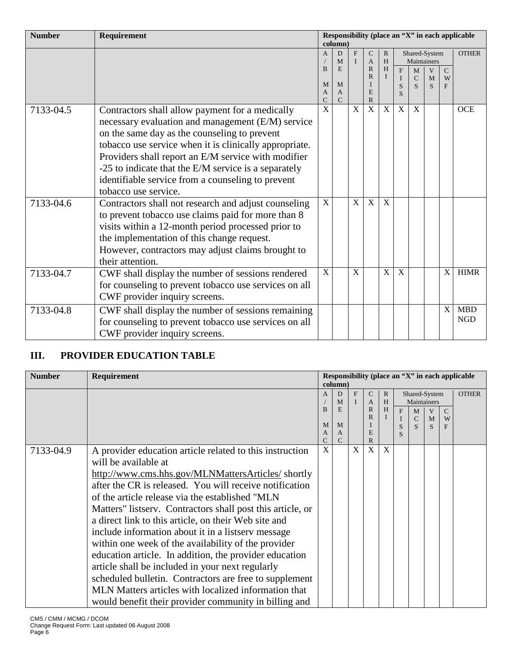| <b>Number</b> | Requirement                                            | Responsibility (place an "X" in each applicable |                    |   |                                |              |                             |                   |        |                    |              |
|---------------|--------------------------------------------------------|-------------------------------------------------|--------------------|---|--------------------------------|--------------|-----------------------------|-------------------|--------|--------------------|--------------|
|               |                                                        |                                                 | $\text{column}$    |   |                                |              |                             |                   |        |                    |              |
|               |                                                        | $\overline{A}$                                  | D                  | F | $\mathcal{C}$                  | $\mathbb{R}$ |                             | Shared-System     |        |                    | <b>OTHER</b> |
|               |                                                        | B                                               | M<br>E             |   | $\overline{A}$<br>$\mathbb{R}$ | H<br>H       |                             | Maintainers       |        |                    |              |
|               |                                                        |                                                 |                    |   | $\mathbb{R}$                   | $\bf{I}$     | $\mathbf{F}$<br>$\mathbf I$ | M<br>$\mathsf{C}$ | V<br>M | $\mathcal{C}$<br>W |              |
|               |                                                        | M                                               | M                  |   | I                              |              | S                           | S                 | S      | F                  |              |
|               |                                                        | A                                               | A<br>$\mathcal{C}$ |   | E                              |              | S                           |                   |        |                    |              |
| 7133-04.5     | Contractors shall allow payment for a medically        | $\mathsf{C}$<br>$\overline{X}$                  |                    | X | $\mathbb{R}$<br>X              | X            | X                           | X                 |        |                    | <b>OCE</b>   |
|               |                                                        |                                                 |                    |   |                                |              |                             |                   |        |                    |              |
|               | necessary evaluation and management (E/M) service      |                                                 |                    |   |                                |              |                             |                   |        |                    |              |
|               | on the same day as the counseling to prevent           |                                                 |                    |   |                                |              |                             |                   |        |                    |              |
|               | tobacco use service when it is clinically appropriate. |                                                 |                    |   |                                |              |                             |                   |        |                    |              |
|               | Providers shall report an E/M service with modifier    |                                                 |                    |   |                                |              |                             |                   |        |                    |              |
|               | -25 to indicate that the E/M service is a separately   |                                                 |                    |   |                                |              |                             |                   |        |                    |              |
|               | identifiable service from a counseling to prevent      |                                                 |                    |   |                                |              |                             |                   |        |                    |              |
|               | tobacco use service.                                   |                                                 |                    |   |                                |              |                             |                   |        |                    |              |
| 7133-04.6     | Contractors shall not research and adjust counseling   | X                                               |                    | X | X                              | X            |                             |                   |        |                    |              |
|               | to prevent tobacco use claims paid for more than 8     |                                                 |                    |   |                                |              |                             |                   |        |                    |              |
|               | visits within a 12-month period processed prior to     |                                                 |                    |   |                                |              |                             |                   |        |                    |              |
|               | the implementation of this change request.             |                                                 |                    |   |                                |              |                             |                   |        |                    |              |
|               | However, contractors may adjust claims brought to      |                                                 |                    |   |                                |              |                             |                   |        |                    |              |
|               | their attention.                                       |                                                 |                    |   |                                |              |                             |                   |        |                    |              |
| 7133-04.7     | CWF shall display the number of sessions rendered      | X                                               |                    | X |                                | X            | X                           |                   |        | X                  | <b>HIMR</b>  |
|               | for counseling to prevent tobacco use services on all  |                                                 |                    |   |                                |              |                             |                   |        |                    |              |
|               | CWF provider inquiry screens.                          |                                                 |                    |   |                                |              |                             |                   |        |                    |              |
| 7133-04.8     | CWF shall display the number of sessions remaining     |                                                 |                    |   |                                |              |                             |                   |        | X                  | <b>MBD</b>   |
|               | for counseling to prevent tobacco use services on all  |                                                 |                    |   |                                |              |                             |                   |        |                    | <b>NGD</b>   |
|               | CWF provider inquiry screens.                          |                                                 |                    |   |                                |              |                             |                   |        |                    |              |

# **III. PROVIDER EDUCATION TABLE**

| <b>Number</b> | Requirement                                                                                                                                                                                                                                                                                                                                                                                                                                                                                                                                                                                                                                                                                                                                                                      |              | $\{column}$            |   |                   |        |   |                              |             |        | Responsibility (place an "X" in each applicable |
|---------------|----------------------------------------------------------------------------------------------------------------------------------------------------------------------------------------------------------------------------------------------------------------------------------------------------------------------------------------------------------------------------------------------------------------------------------------------------------------------------------------------------------------------------------------------------------------------------------------------------------------------------------------------------------------------------------------------------------------------------------------------------------------------------------|--------------|------------------------|---|-------------------|--------|---|------------------------------|-------------|--------|-------------------------------------------------|
|               |                                                                                                                                                                                                                                                                                                                                                                                                                                                                                                                                                                                                                                                                                                                                                                                  | $\mathsf{A}$ | D<br>M                 | F | C<br>A            | R<br>H |   | Shared-System<br>Maintainers |             |        | <b>OTHER</b>                                    |
|               |                                                                                                                                                                                                                                                                                                                                                                                                                                                                                                                                                                                                                                                                                                                                                                                  | B            | E                      |   | $\mathbb{R}$<br>R | H      | F | M<br>$\mathcal{C}$           | V<br>M      | C<br>W |                                                 |
|               |                                                                                                                                                                                                                                                                                                                                                                                                                                                                                                                                                                                                                                                                                                                                                                                  | M<br>A<br>C  | M<br>A<br>$\mathsf{C}$ |   | E<br>$\mathbb{R}$ |        | S | $\overline{S}$               | $\mathbf S$ | F      |                                                 |
| 7133-04.9     | A provider education article related to this instruction<br>will be available at<br>http://www.cms.hhs.gov/MLNMattersArticles/shortly<br>after the CR is released. You will receive notification<br>of the article release via the established "MLN<br>Matters" listserv. Contractors shall post this article, or<br>a direct link to this article, on their Web site and<br>include information about it in a listserv message<br>within one week of the availability of the provider<br>education article. In addition, the provider education<br>article shall be included in your next regularly<br>scheduled bulletin. Contractors are free to supplement<br>MLN Matters articles with localized information that<br>would be nefit their provider community in billing and | X            |                        | X | X                 | X      |   |                              |             |        |                                                 |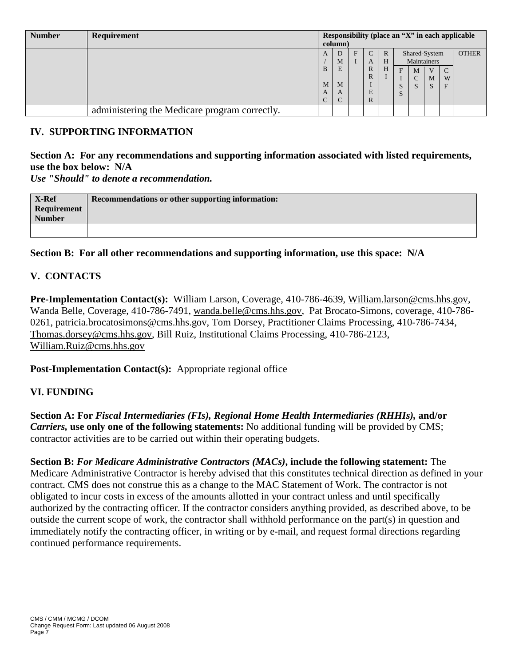| <b>Number</b> | Requirement                                   | Responsibility (place an "X" in each applicable<br>column) |             |   |             |        |                                              |                              |        |             |              |
|---------------|-----------------------------------------------|------------------------------------------------------------|-------------|---|-------------|--------|----------------------------------------------|------------------------------|--------|-------------|--------------|
|               |                                               | A                                                          | D<br>M      | F | C<br>A      | R<br>H |                                              | Shared-System<br>Maintainers |        |             | <b>OTHER</b> |
|               |                                               | B<br>M<br>A<br>$\sqrt{ }$                                  | E<br>M<br>A |   | R<br>R<br>E | Н      | F<br>$\mathbf{C}^{\dagger}$<br>$\mathcal{L}$ | M<br>C<br>S                  | M<br>S | C<br>W<br>F |              |
|               | administering the Medicare program correctly. | ◡                                                          |             |   | R           |        |                                              |                              |        |             |              |

#### **IV. SUPPORTING INFORMATION**

# **Section A: For any recommendations and supporting information associated with listed requirements, use the box below: N/A**

*Use "Should" to denote a recommendation.*

| X-Ref         | Recommendations or other supporting information: |
|---------------|--------------------------------------------------|
| Requirement   |                                                  |
| <b>Number</b> |                                                  |
|               |                                                  |

**Section B: For all other recommendations and supporting information, use this space: N/A**

## **V. CONTACTS**

**Pre-Implementation Contact(s):** William Larson, Coverage, 410-786-4639, [William.larson@cms.hhs.gov,](mailto:William.larson@cms.hhs.gov) Wanda Belle, Coverage, 410-786-7491, [wanda.belle@cms.hhs.gov,](mailto:wanda.belle@cms.hhs.gov) Pat Brocato-Simons, coverage, 410-786- 0261, [patricia.brocatosimons@cms.hhs.gov,](mailto:patricia.brocatosimons@cms.hhs.gov) Tom Dorsey, Practitioner Claims Processing, 410-786-7434, [Thomas.dorsey@cms.hhs.gov,](mailto:Thomas.dorsey@cms.hhs.gov) Bill Ruiz, Institutional Claims Processing, 410-786-2123, [William.Ruiz@cms.hhs.gov](mailto:William.Ruiz@cms.hhs.gov)

**Post-Implementation Contact(s):** Appropriate regional office

#### **VI. FUNDING**

**Section A: For** *Fiscal Intermediaries (FIs), Regional Home Health Intermediaries (RHHIs),* **and/or** *Carriers,* **use only one of the following statements:** No additional funding will be provided by CMS; contractor activities are to be carried out within their operating budgets.

**Section B:** *For Medicare Administrative Contractors (MACs)***, include the following statement:** The Medicare Administrative Contractor is hereby advised that this constitutes technical direction as defined in your contract. CMS does not construe this as a change to the MAC Statement of Work. The contractor is not obligated to incur costs in excess of the amounts allotted in your contract unless and until specifically authorized by the contracting officer. If the contractor considers anything provided, as described above, to be outside the current scope of work, the contractor shall withhold performance on the part(s) in question and immediately notify the contracting officer, in writing or by e-mail, and request formal directions regarding continued performance requirements.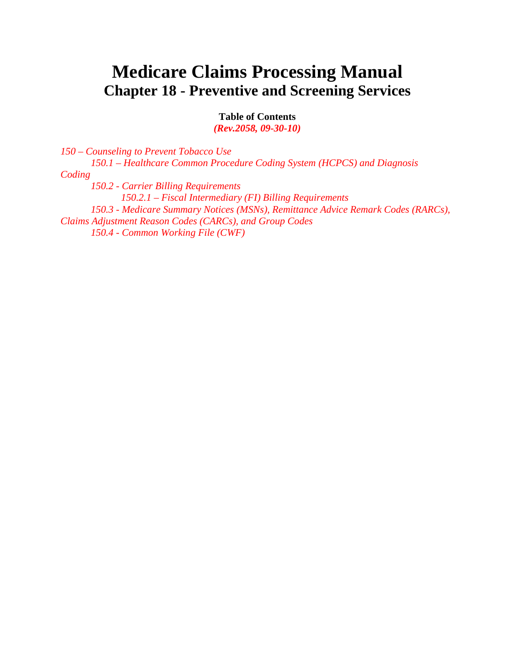# **Medicare Claims Processing Manual Chapter 18 - Preventive and Screening Services**

**Table of Contents**

*(Rev.2058, 09-30-10)*

*150 – Counseling to Prevent Tobacco Use 150.1 – Healthcare Common Procedure Coding System (HCPCS) and Diagnosis Coding 150.2 - Carrier Billing Requirements 150.2.1 – Fiscal Intermediary (FI) Billing Requirements 150.3 - Medicare Summary Notices (MSNs), Remittance Advice Remark Codes (RARCs), Claims Adjustment Reason Codes (CARCs), and Group Codes 150.4 - Common Working File (CWF)*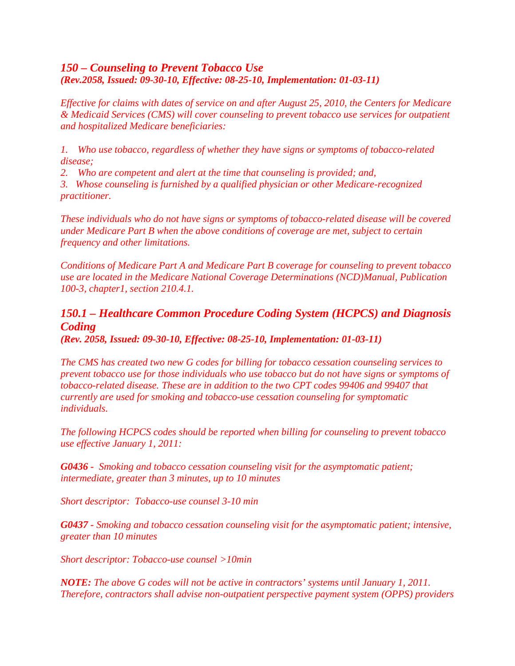# *150 – Counseling to Prevent Tobacco Use (Rev.2058, Issued: 09-30-10, Effective: 08-25-10, Implementation: 01-03-11)*

*Effective for claims with dates of service on and after August 25, 2010, the Centers for Medicare & Medicaid Services (CMS) will cover counseling to prevent tobacco use services for outpatient and hospitalized Medicare beneficiaries:*

*1. Who use tobacco, regardless of whether they have signs or symptoms of tobacco-related disease;*

*2. Who are competent and alert at the time that counseling is provided; and,*

*3. Whose counseling is furnished by a qualified physician or other Medicare-recognized practitioner.*

*These individuals who do not have signs or symptoms of tobacco-related disease will be covered under Medicare Part B when the above conditions of coverage are met, subject to certain frequency and other limitations.* 

*Conditions of Medicare Part A and Medicare Part B coverage for counseling to prevent tobacco use are located in the Medicare National Coverage Determinations (NCD)Manual, Publication 100-3, chapter1, section 210.4.1.*

# *150.1 – Healthcare Common Procedure Coding System (HCPCS) and Diagnosis Coding*

*(Rev. 2058, Issued: 09-30-10, Effective: 08-25-10, Implementation: 01-03-11)*

*The CMS has created two new G codes for billing for tobacco cessation counseling services to prevent tobacco use for those individuals who use tobacco but do not have signs or symptoms of tobacco-related disease. These are in addition to the two CPT codes 99406 and 99407 that currently are used for smoking and tobacco-use cessation counseling for symptomatic individuals.* 

*The following HCPCS codes should be reported when billing for counseling to prevent tobacco use effective January 1, 2011:*

*G0436 - Smoking and tobacco cessation counseling visit for the asymptomatic patient; intermediate, greater than 3 minutes, up to 10 minutes*

*Short descriptor: Tobacco-use counsel 3-10 min*

*G0437 - Smoking and tobacco cessation counseling visit for the asymptomatic patient; intensive, greater than 10 minutes*

*Short descriptor: Tobacco-use counsel >10min*

*NOTE: The above G codes will not be active in contractors' systems until January 1, 2011. Therefore, contractors shall advise non-outpatient perspective payment system (OPPS) providers*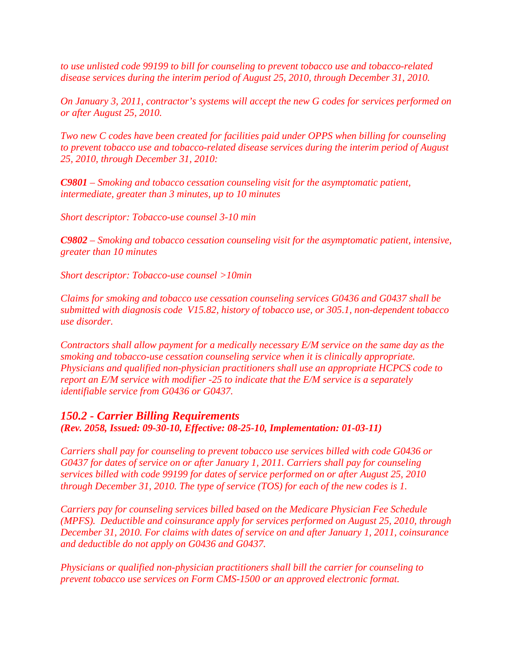*to use unlisted code 99199 to bill for counseling to prevent tobacco use and tobacco-related disease services during the interim period of August 25, 2010, through December 31, 2010.*

*On January 3, 2011, contractor's systems will accept the new G codes for services performed on or after August 25, 2010.*

*Two new C codes have been created for facilities paid under OPPS when billing for counseling to prevent tobacco use and tobacco-related disease services during the interim period of August 25, 2010, through December 31, 2010:*

*C9801 – Smoking and tobacco cessation counseling visit for the asymptomatic patient, intermediate, greater than 3 minutes, up to 10 minutes*

*Short descriptor: Tobacco-use counsel 3-10 min*

*C9802 – Smoking and tobacco cessation counseling visit for the asymptomatic patient, intensive, greater than 10 minutes*

*Short descriptor: Tobacco-use counsel >10min*

*Claims for smoking and tobacco use cessation counseling services G0436 and G0437 shall be submitted with diagnosis code V15.82, history of tobacco use, or 305.1, non-dependent tobacco use disorder.* 

*Contractors shall allow payment for a medically necessary E/M service on the same day as the smoking and tobacco-use cessation counseling service when it is clinically appropriate. Physicians and qualified non-physician practitioners shall use an appropriate HCPCS code to report an E/M service with modifier -25 to indicate that the E/M service is a separately identifiable service from G0436 or G0437.*

#### *150.2 - Carrier Billing Requirements (Rev. 2058, Issued: 09-30-10, Effective: 08-25-10, Implementation: 01-03-11)*

*Carriers shall pay for counseling to prevent tobacco use services billed with code G0436 or G0437 for dates of service on or after January 1, 2011. Carriers shall pay for counseling services billed with code 99199 for dates of service performed on or after August 25, 2010 through December 31, 2010. The type of service (TOS) for each of the new codes is 1.*

*Carriers pay for counseling services billed based on the Medicare Physician Fee Schedule (MPFS). Deductible and coinsurance apply for services performed on August 25, 2010, through December 31, 2010. For claims with dates of service on and after January 1, 2011, coinsurance and deductible do not apply on G0436 and G0437.* 

*Physicians or qualified non-physician practitioners shall bill the carrier for counseling to prevent tobacco use services on Form CMS-1500 or an approved electronic format.*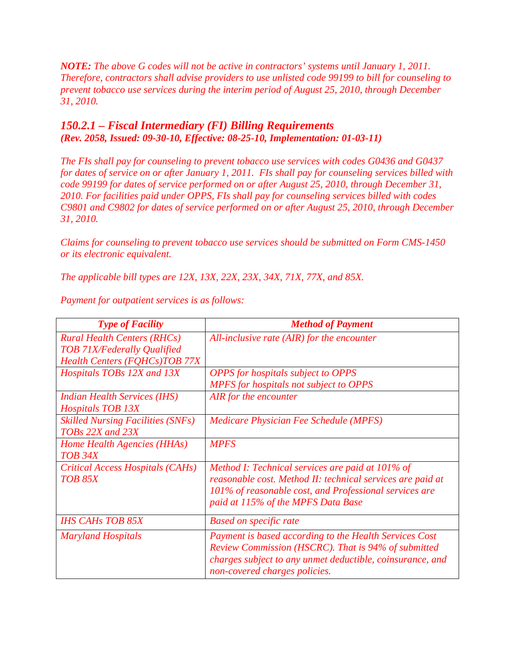*NOTE: The above G codes will not be active in contractors' systems until January 1, 2011. Therefore, contractors shall advise providers to use unlisted code 99199 to bill for counseling to prevent tobacco use services during the interim period of August 25, 2010, through December 31, 2010.*

#### *150.2.1 – Fiscal Intermediary (FI) Billing Requirements (Rev. 2058, Issued: 09-30-10, Effective: 08-25-10, Implementation: 01-03-11)*

*The FIs shall pay for counseling to prevent tobacco use services with codes G0436 and G0437 for dates of service on or after January 1, 2011. FIs shall pay for counseling services billed with code 99199 for dates of service performed on or after August 25, 2010, through December 31, 2010. For facilities paid under OPPS, FIs shall pay for counseling services billed with codes C9801 and C9802 for dates of service performed on or after August 25, 2010, through December 31, 2010.*

*Claims for counseling to prevent tobacco use services should be submitted on Form CMS-1450 or its electronic equivalent.*

*The applicable bill types are 12X, 13X, 22X, 23X, 34X, 71X, 77X, and 85X.* 

| <b>Type of Facility</b>                  | <b>Method of Payment</b>                                   |
|------------------------------------------|------------------------------------------------------------|
| <b>Rural Health Centers (RHCs)</b>       | All-inclusive rate $(AIR)$ for the encounter               |
| <b>TOB 71X/Federally Qualified</b>       |                                                            |
| <b>Health Centers (FQHCs)TOB 77X</b>     |                                                            |
| Hospitals TOBs 12X and 13X               | <b>OPPS</b> for hospitals subject to OPPS                  |
|                                          | MPFS for hospitals not subject to OPPS                     |
| <b>Indian Health Services (IHS)</b>      | AIR for the encounter                                      |
| <b>Hospitals TOB 13X</b>                 |                                                            |
| <b>Skilled Nursing Facilities (SNFs)</b> | Medicare Physician Fee Schedule (MPFS)                     |
| TOBs 22X and 23X                         |                                                            |
| Home Health Agencies (HHAs)              | <b>MPFS</b>                                                |
| TOB 34X                                  |                                                            |
| Critical Access Hospitals (CAHs)         | Method I: Technical services are paid at 101% of           |
| <b>TOB 85X</b>                           | reasonable cost. Method II: technical services are paid at |
|                                          | 101% of reasonable cost, and Professional services are     |
|                                          | paid at 115% of the MPFS Data Base                         |
|                                          |                                                            |
| <b>IHS CAHs TOB 85X</b>                  | <b>Based on specific rate</b>                              |
| <b>Maryland Hospitals</b>                | Payment is based according to the Health Services Cost     |
|                                          | Review Commission (HSCRC). That is 94% of submitted        |
|                                          | charges subject to any unmet deductible, coinsurance, and  |
|                                          | non-covered charges policies.                              |

*Payment for outpatient services is as follows:*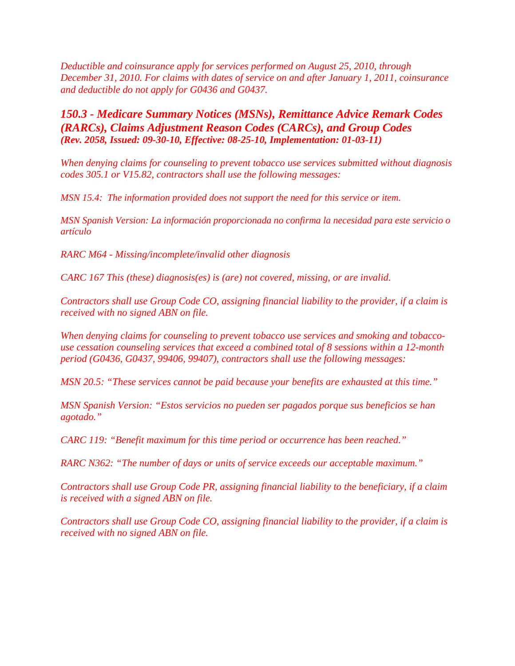*Deductible and coinsurance apply for services performed on August 25, 2010, through December 31, 2010. For claims with dates of service on and after January 1, 2011, coinsurance and deductible do not apply for G0436 and G0437.* 

*150.3 - Medicare Summary Notices (MSNs), Remittance Advice Remark Codes (RARCs), Claims Adjustment Reason Codes (CARCs), and Group Codes (Rev. 2058, Issued: 09-30-10, Effective: 08-25-10, Implementation: 01-03-11)*

*When denying claims for counseling to prevent tobacco use services submitted without diagnosis codes 305.1 or V15.82, contractors shall use the following messages:*

*MSN 15.4: The information provided does not support the need for this service or item.* 

*MSN Spanish Version: La información proporcionada no confirma la necesidad para este servicio o artículo*

*RARC M64 - Missing/incomplete/invalid other diagnosis*

*CARC 167 This (these) diagnosis(es) is (are) not covered, missing, or are invalid.*

*Contractors shall use Group Code CO, assigning financial liability to the provider, if a claim is received with no signed ABN on file.*

*When denying claims for counseling to prevent tobacco use services and smoking and tobaccouse cessation counseling services that exceed a combined total of 8 sessions within a 12-month period (G0436, G0437, 99406, 99407), contractors shall use the following messages:*

*MSN 20.5: "These services cannot be paid because your benefits are exhausted at this time."*

*MSN Spanish Version: "Estos servicios no pueden ser pagados porque sus beneficios se han agotado."*

*CARC 119: "Benefit maximum for this time period or occurrence has been reached."* 

*RARC N362: "The number of days or units of service exceeds our acceptable maximum."*

*Contractors shall use Group Code PR, assigning financial liability to the beneficiary, if a claim is received with a signed ABN on file.*

*Contractors shall use Group Code CO, assigning financial liability to the provider, if a claim is received with no signed ABN on file.*